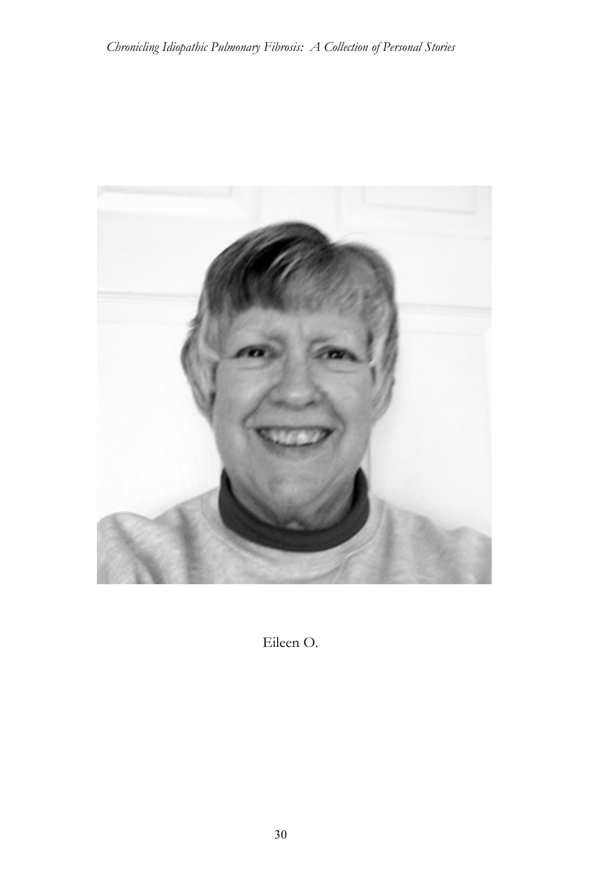

Eileen O.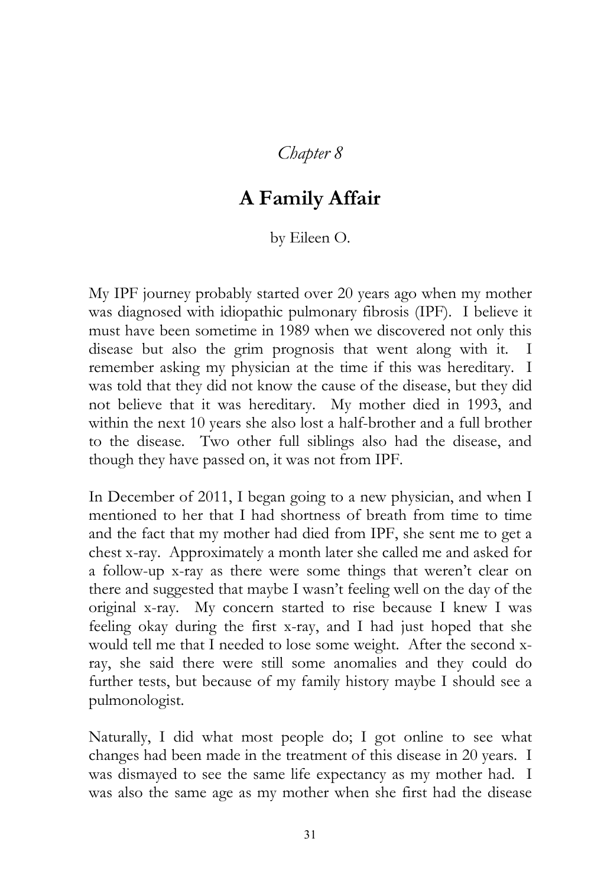*Chapter 8* 

## **A Family Affair**

## by Eileen O.

My IPF journey probably started over 20 years ago when my mother was diagnosed with idiopathic pulmonary fibrosis (IPF). I believe it must have been sometime in 1989 when we discovered not only this disease but also the grim prognosis that went along with it. I remember asking my physician at the time if this was hereditary. I was told that they did not know the cause of the disease, but they did not believe that it was hereditary. My mother died in 1993, and within the next 10 years she also lost a half-brother and a full brother to the disease. Two other full siblings also had the disease, and though they have passed on, it was not from IPF.

In December of 2011, I began going to a new physician, and when I mentioned to her that I had shortness of breath from time to time and the fact that my mother had died from IPF, she sent me to get a chest x-ray. Approximately a month later she called me and asked for a follow-up x-ray as there were some things that weren't clear on there and suggested that maybe I wasn't feeling well on the day of the original x-ray. My concern started to rise because I knew I was feeling okay during the first x-ray, and I had just hoped that she would tell me that I needed to lose some weight. After the second xray, she said there were still some anomalies and they could do further tests, but because of my family history maybe I should see a pulmonologist.

Naturally, I did what most people do; I got online to see what changes had been made in the treatment of this disease in 20 years. I was dismayed to see the same life expectancy as my mother had. I was also the same age as my mother when she first had the disease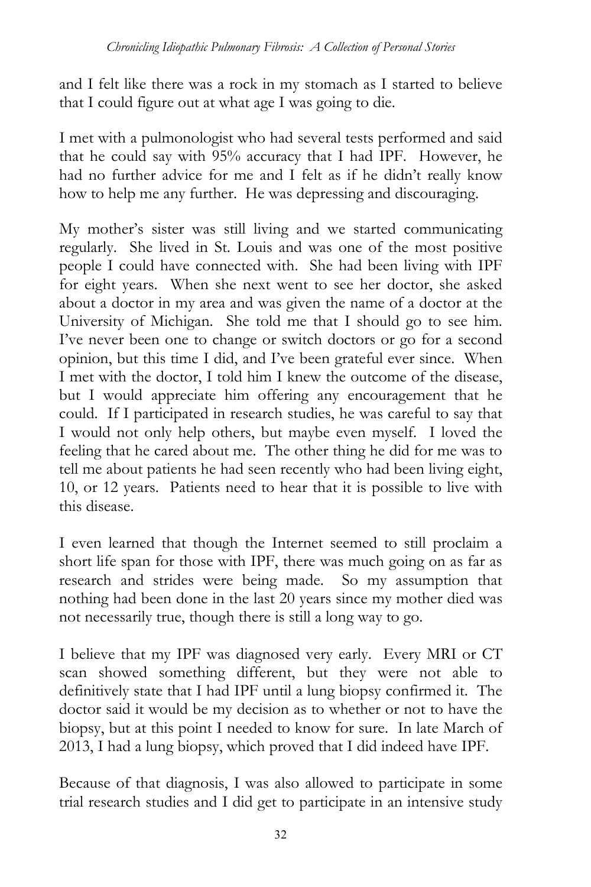and I felt like there was a rock in my stomach as I started to believe that I could figure out at what age I was going to die.

I met with a pulmonologist who had several tests performed and said that he could say with 95% accuracy that I had IPF. However, he had no further advice for me and I felt as if he didn't really know how to help me any further. He was depressing and discouraging.

My mother's sister was still living and we started communicating regularly. She lived in St. Louis and was one of the most positive people I could have connected with. She had been living with IPF for eight years. When she next went to see her doctor, she asked about a doctor in my area and was given the name of a doctor at the University of Michigan. She told me that I should go to see him. I've never been one to change or switch doctors or go for a second opinion, but this time I did, and I've been grateful ever since. When I met with the doctor, I told him I knew the outcome of the disease, but I would appreciate him offering any encouragement that he could. If I participated in research studies, he was careful to say that I would not only help others, but maybe even myself. I loved the feeling that he cared about me. The other thing he did for me was to tell me about patients he had seen recently who had been living eight, 10, or 12 years. Patients need to hear that it is possible to live with this disease.

I even learned that though the Internet seemed to still proclaim a short life span for those with IPF, there was much going on as far as research and strides were being made. So my assumption that nothing had been done in the last 20 years since my mother died was not necessarily true, though there is still a long way to go.

I believe that my IPF was diagnosed very early. Every MRI or CT scan showed something different, but they were not able to definitively state that I had IPF until a lung biopsy confirmed it. The doctor said it would be my decision as to whether or not to have the biopsy, but at this point I needed to know for sure. In late March of 2013, I had a lung biopsy, which proved that I did indeed have IPF.

Because of that diagnosis, I was also allowed to participate in some trial research studies and I did get to participate in an intensive study